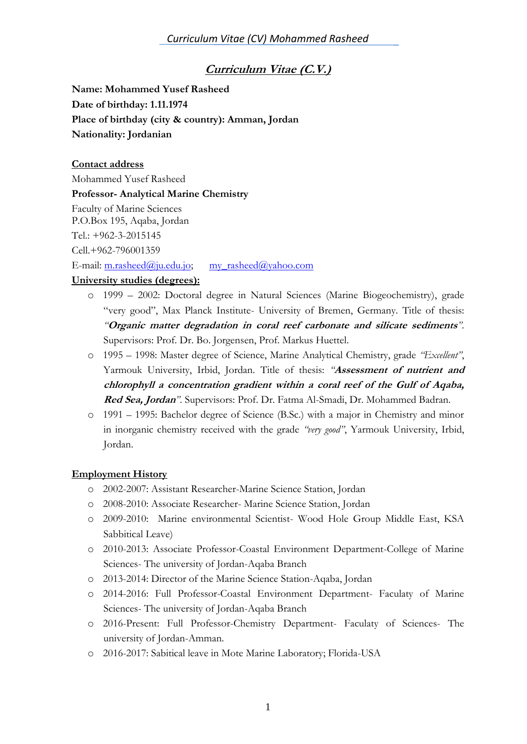# **Curriculum Vitae (C.V.)**

**Name: Mohammed Yusef Rasheed Date of birthday: 1.11.1974 Place of birthday (city & country): Amman, Jordan Nationality: Jordanian**

#### **Contact address**

Mohammed Yusef Rasheed

**Professor- Analytical Marine Chemistry**

Faculty of Marine Sciences

P.O.Box 195, Aqaba, Jordan

Tel.: +962-3-2015145

Cell.+962-796001359

E-mail: [m.rasheed@ju.edu.jo;](mailto:m.rasheed@ju.edu.jo) [my\\_rasheed@yahoo.com](mailto:my_rasheed@yahoo.com)

#### **University studies (degrees):**

- o 1999 2002: Doctoral degree in Natural Sciences (Marine Biogeochemistry), grade "very good", Max Planck Institute- University of Bremen, Germany. Title of thesis: *"***Organic matter degradation in coral reef carbonate and silicate sediments***"*. Supervisors: Prof. Dr. Bo. Jorgensen, Prof. Markus Huettel.
- o 1995 1998: Master degree of Science, Marine Analytical Chemistry, grade *"Excellent"*, Yarmouk University, Irbid, Jordan. Title of thesis: *"***Assessment of nutrient and chlorophyll a concentration gradient within a coral reef of the Gulf of Aqaba, Red Sea, Jordan***"*. Supervisors: Prof. Dr. Fatma Al-Smadi, Dr. Mohammed Badran.
- o 1991 1995: Bachelor degree of Science (B.Sc.) with a major in Chemistry and minor in inorganic chemistry received with the grade *"very good"*, Yarmouk University, Irbid, Jordan.

#### **Employment History**

- o 2002-2007: Assistant Researcher-Marine Science Station, Jordan
- o 2008-2010: Associate Researcher- Marine Science Station, Jordan
- o 2009-2010: Marine environmental Scientist- Wood Hole Group Middle East, KSA Sabbitical Leave)
- o 2010-2013: Associate Professor-Coastal Environment Department-College of Marine Sciences- The university of Jordan-Aqaba Branch
- o 2013-2014: Director of the Marine Science Station-Aqaba, Jordan
- o 2014-2016: Full Professor-Coastal Environment Department- Faculaty of Marine Sciences- The university of Jordan-Aqaba Branch
- o 2016-Present: Full Professor-Chemistry Department- Faculaty of Sciences- The university of Jordan-Amman.
- o 2016-2017: Sabitical leave in Mote Marine Laboratory; Florida-USA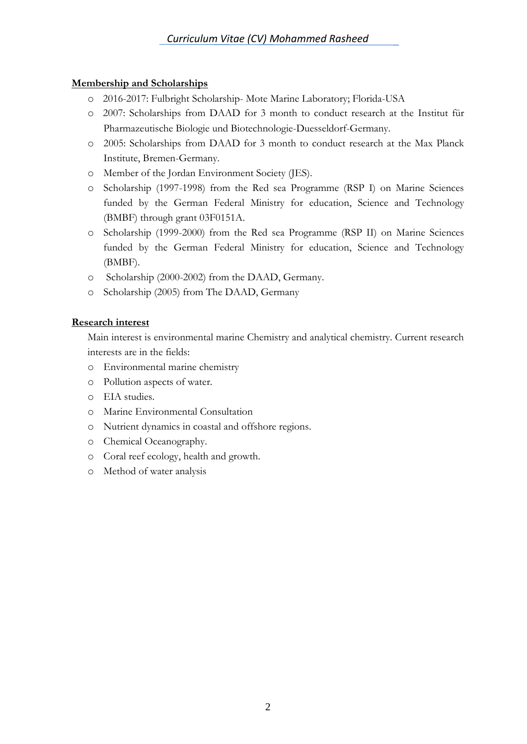## **Membership and Scholarships**

- o 2016-2017: Fulbright Scholarship- Mote Marine Laboratory; Florida-USA
- o 2007: Scholarships from DAAD for 3 month to conduct research at the Institut für Pharmazeutische Biologie und Biotechnologie-Duesseldorf-Germany.
- o 2005: Scholarships from DAAD for 3 month to conduct research at the Max Planck Institute, Bremen-Germany.
- o Member of the Jordan Environment Society (JES).
- o Scholarship (1997-1998) from the Red sea Programme (RSP I) on Marine Sciences funded by the German Federal Ministry for education, Science and Technology (BMBF) through grant 03F0151A.
- o Scholarship (1999-2000) from the Red sea Programme (RSP II) on Marine Sciences funded by the German Federal Ministry for education, Science and Technology (BMBF).
- o Scholarship (2000-2002) from the DAAD, Germany.
- o Scholarship (2005) from The DAAD, Germany

## **Research interest**

Main interest is environmental marine Chemistry and analytical chemistry. Current research interests are in the fields:

- o Environmental marine chemistry
- o Pollution aspects of water.
- o EIA studies.
- o Marine Environmental Consultation
- o Nutrient dynamics in coastal and offshore regions.
- o Chemical Oceanography.
- o Coral reef ecology, health and growth.
- o Method of water analysis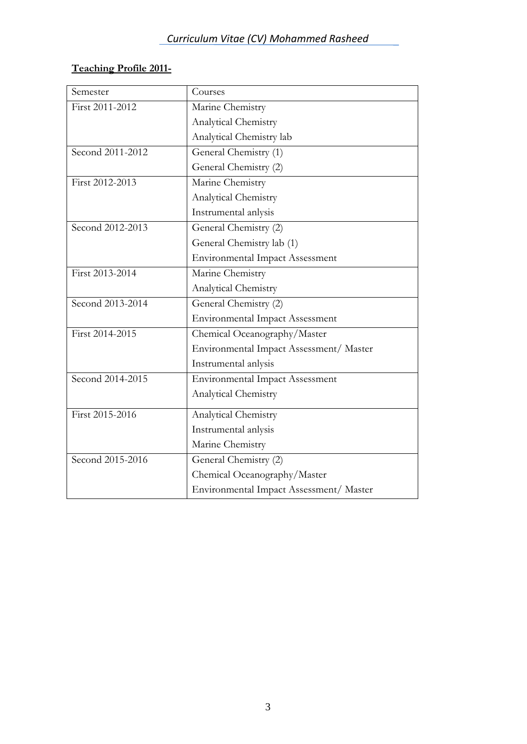# **Teaching Profile 2011-**

| Semester         | Courses                                 |
|------------------|-----------------------------------------|
| First 2011-2012  | Marine Chemistry                        |
|                  | Analytical Chemistry                    |
|                  | Analytical Chemistry lab                |
| Second 2011-2012 | General Chemistry (1)                   |
|                  | General Chemistry (2)                   |
| First 2012-2013  | Marine Chemistry                        |
|                  | Analytical Chemistry                    |
|                  | Instrumental anlysis                    |
| Second 2012-2013 | General Chemistry (2)                   |
|                  | General Chemistry lab (1)               |
|                  | <b>Environmental Impact Assessment</b>  |
| First 2013-2014  | Marine Chemistry                        |
|                  | Analytical Chemistry                    |
| Second 2013-2014 | General Chemistry (2)                   |
|                  | <b>Environmental Impact Assessment</b>  |
| First 2014-2015  | Chemical Oceanography/Master            |
|                  | Environmental Impact Assessment/ Master |
|                  | Instrumental anlysis                    |
| Second 2014-2015 | <b>Environmental Impact Assessment</b>  |
|                  | Analytical Chemistry                    |
| First 2015-2016  | Analytical Chemistry                    |
|                  | Instrumental anlysis                    |
|                  | Marine Chemistry                        |
| Second 2015-2016 | General Chemistry (2)                   |
|                  | Chemical Oceanography/Master            |
|                  | Environmental Impact Assessment/ Master |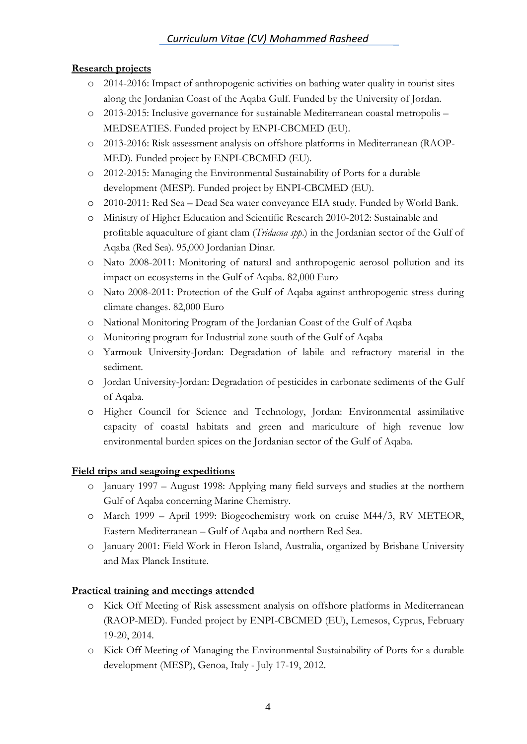## **Research projects**

- o 2014-2016: Impact of anthropogenic activities on bathing water quality in tourist sites along the Jordanian Coast of the Aqaba Gulf. Funded by the University of Jordan.
- o 2013-2015: Inclusive governance for sustainable Mediterranean coastal metropolis MEDSEATIES. Funded project by ENPI-CBCMED (EU).
- o 2013-2016: Risk assessment analysis on offshore platforms in Mediterranean (RAOP-MED). Funded project by ENPI-CBCMED (EU).
- o 2012-2015: Managing the Environmental Sustainability of Ports for a durable development (MESP). Funded project by ENPI-CBCMED (EU).
- o 2010-2011: Red Sea Dead Sea water conveyance EIA study. Funded by World Bank.
- o Ministry of Higher Education and Scientific Research 2010-2012: Sustainable and profitable aquaculture of giant clam (*Tridacna spp*.) in the Jordanian sector of the Gulf of Aqaba (Red Sea). 95,000 Jordanian Dinar.
- o Nato 2008-2011: Monitoring of natural and anthropogenic aerosol pollution and its impact on ecosystems in the Gulf of Aqaba. 82,000 Euro
- o Nato 2008-2011: Protection of the Gulf of Aqaba against anthropogenic stress during climate changes. 82,000 Euro
- o National Monitoring Program of the Jordanian Coast of the Gulf of Aqaba
- o Monitoring program for Industrial zone south of the Gulf of Aqaba
- o Yarmouk University-Jordan: Degradation of labile and refractory material in the sediment.
- o Jordan University-Jordan: Degradation of pesticides in carbonate sediments of the Gulf of Aqaba.
- o Higher Council for Science and Technology, Jordan: Environmental assimilative capacity of coastal habitats and green and mariculture of high revenue low environmental burden spices on the Jordanian sector of the Gulf of Aqaba.

#### **Field trips and seagoing expeditions**

- o January 1997 August 1998: Applying many field surveys and studies at the northern Gulf of Aqaba concerning Marine Chemistry.
- o March 1999 April 1999: Biogeochemistry work on cruise M44/3, RV METEOR, Eastern Mediterranean – Gulf of Aqaba and northern Red Sea.
- o January 2001: Field Work in Heron Island, Australia, organized by Brisbane University and Max Planck Institute.

## **Practical training and meetings attended**

- o Kick Off Meeting of Risk assessment analysis on offshore platforms in Mediterranean (RAOP-MED). Funded project by ENPI-CBCMED (EU), Lemesos, Cyprus, February 19-20, 2014.
- o Kick Off Meeting of Managing the Environmental Sustainability of Ports for a durable development (MESP), Genoa, Italy - July 17-19, 2012.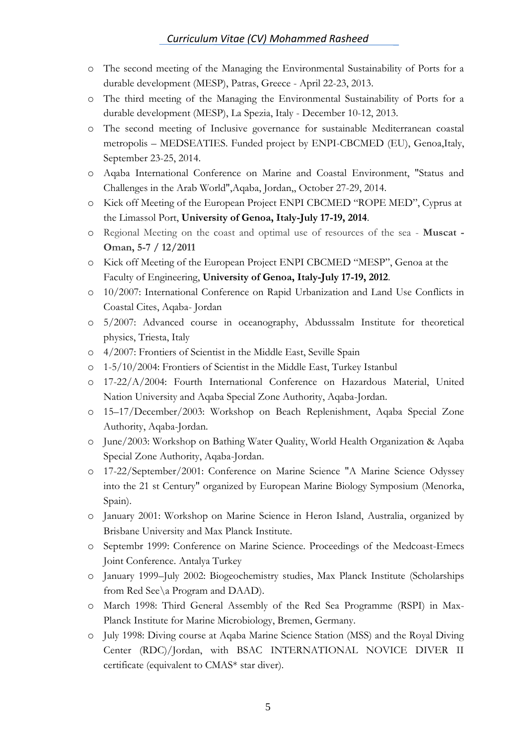- o The second meeting of the Managing the Environmental Sustainability of Ports for a durable development (MESP), Patras, Greece - April 22-23, 2013.
- o The third meeting of the Managing the Environmental Sustainability of Ports for a durable development (MESP), La Spezia, Italy - December 10-12, 2013.
- o The second meeting of Inclusive governance for sustainable Mediterranean coastal metropolis – MEDSEATIES. Funded project by ENPI-CBCMED (EU), Genoa,Italy, September 23-25, 2014.
- o Aqaba International Conference on Marine and Coastal Environment, "Status and Challenges in the Arab World",Aqaba, Jordan,, October 27-29, 2014.
- o Kick off Meeting of the European Project ENPI CBCMED "ROPE MED", Cyprus at the Limassol Port, **University of Genoa, Italy-July 17-19, 2014**.
- o Regional Meeting on the coast and optimal use of resources of the sea **Muscat - Oman, 5-7 / 12/2011**
- o Kick off Meeting of the European Project ENPI CBCMED "MESP", Genoa at the Faculty of Engineering, **University of Genoa, Italy-July 17-19, 2012**.
- o 10/2007: International Conference on Rapid Urbanization and Land Use Conflicts in Coastal Cites, Aqaba- Jordan
- o 5/2007: Advanced course in oceanography, Abdusssalm Institute for theoretical physics, Triesta, Italy
- o 4/2007: Frontiers of Scientist in the Middle East, Seville Spain
- o 1-5/10/2004: Frontiers of Scientist in the Middle East, Turkey Istanbul
- o 17-22/A/2004: Fourth International Conference on Hazardous Material, United Nation University and Aqaba Special Zone Authority, Aqaba-Jordan.
- o 15–17/December/2003: Workshop on Beach Replenishment, Aqaba Special Zone Authority, Aqaba-Jordan.
- o June/2003: Workshop on Bathing Water Quality, World Health Organization & Aqaba Special Zone Authority, Aqaba-Jordan.
- o 17-22/September/2001: Conference on Marine Science "A Marine Science Odyssey into the 21 st Century" organized by European Marine Biology Symposium (Menorka, Spain).
- o January 2001: Workshop on Marine Science in Heron Island, Australia, organized by Brisbane University and Max Planck Institute.
- o Septembr 1999: Conference on Marine Science. Proceedings of the Medcoast-Emecs Joint Conference. Antalya Turkey
- o January 1999–July 2002: Biogeochemistry studies, Max Planck Institute (Scholarships from Red See\a Program and DAAD).
- o March 1998: Third General Assembly of the Red Sea Programme (RSPI) in Max-Planck Institute for Marine Microbiology, Bremen, Germany.
- o July 1998: Diving course at Aqaba Marine Science Station (MSS) and the Royal Diving Center (RDC)/Jordan, with BSAC INTERNATIONAL NOVICE DIVER II certificate (equivalent to CMAS\* star diver).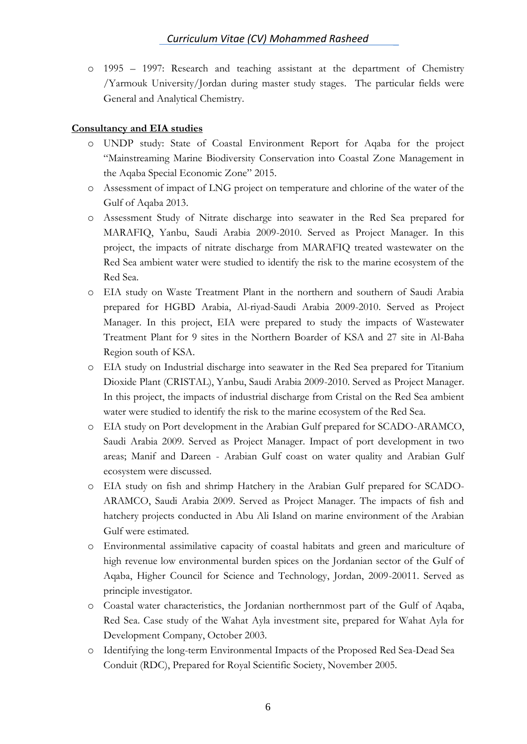o 1995 – 1997: Research and teaching assistant at the department of Chemistry /Yarmouk University/Jordan during master study stages. The particular fields were General and Analytical Chemistry.

## **Consultancy and EIA studies**

- o UNDP study: State of Coastal Environment Report for Aqaba for the project "Mainstreaming Marine Biodiversity Conservation into Coastal Zone Management in the Aqaba Special Economic Zone" 2015.
- o Assessment of impact of LNG project on temperature and chlorine of the water of the Gulf of Aqaba 2013.
- o Assessment Study of Nitrate discharge into seawater in the Red Sea prepared for MARAFIQ, Yanbu, Saudi Arabia 2009-2010. Served as Project Manager. In this project, the impacts of nitrate discharge from MARAFIQ treated wastewater on the Red Sea ambient water were studied to identify the risk to the marine ecosystem of the Red Sea.
- o EIA study on Waste Treatment Plant in the northern and southern of Saudi Arabia prepared for HGBD Arabia, Al-riyad-Saudi Arabia 2009-2010. Served as Project Manager. In this project, EIA were prepared to study the impacts of Wastewater Treatment Plant for 9 sites in the Northern Boarder of KSA and 27 site in Al-Baha Region south of KSA.
- o EIA study on Industrial discharge into seawater in the Red Sea prepared for Titanium Dioxide Plant (CRISTAL), Yanbu, Saudi Arabia 2009-2010. Served as Project Manager. In this project, the impacts of industrial discharge from Cristal on the Red Sea ambient water were studied to identify the risk to the marine ecosystem of the Red Sea.
- o EIA study on Port development in the Arabian Gulf prepared for SCADO-ARAMCO, Saudi Arabia 2009. Served as Project Manager. Impact of port development in two areas; Manif and Dareen - Arabian Gulf coast on water quality and Arabian Gulf ecosystem were discussed.
- o EIA study on fish and shrimp Hatchery in the Arabian Gulf prepared for SCADO-ARAMCO, Saudi Arabia 2009. Served as Project Manager. The impacts of fish and hatchery projects conducted in Abu Ali Island on marine environment of the Arabian Gulf were estimated.
- o Environmental assimilative capacity of coastal habitats and green and mariculture of high revenue low environmental burden spices on the Jordanian sector of the Gulf of Aqaba, Higher Council for Science and Technology, Jordan, 2009-20011. Served as principle investigator.
- o Coastal water characteristics, the Jordanian northernmost part of the Gulf of Aqaba, Red Sea. Case study of the Wahat Ayla investment site, prepared for Wahat Ayla for Development Company, October 2003.
- o Identifying the long-term Environmental Impacts of the Proposed Red Sea-Dead Sea Conduit (RDC), Prepared for Royal Scientific Society, November 2005.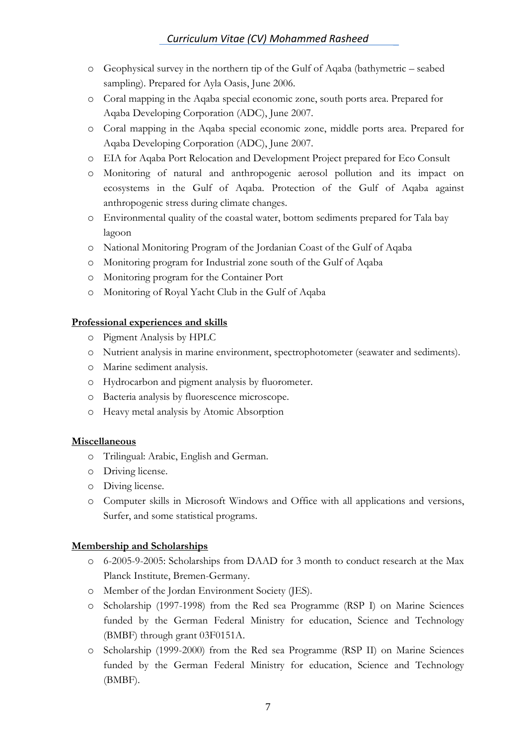- o Geophysical survey in the northern tip of the Gulf of Aqaba (bathymetric seabed sampling). Prepared for Ayla Oasis, June 2006.
- o Coral mapping in the Aqaba special economic zone, south ports area. Prepared for Aqaba Developing Corporation (ADC), June 2007.
- o Coral mapping in the Aqaba special economic zone, middle ports area. Prepared for Aqaba Developing Corporation (ADC), June 2007.
- o EIA for Aqaba Port Relocation and Development Project prepared for Eco Consult
- o Monitoring of natural and anthropogenic aerosol pollution and its impact on ecosystems in the Gulf of Aqaba. Protection of the Gulf of Aqaba against anthropogenic stress during climate changes.
- o Environmental quality of the coastal water, bottom sediments prepared for Tala bay lagoon
- o National Monitoring Program of the Jordanian Coast of the Gulf of Aqaba
- o Monitoring program for Industrial zone south of the Gulf of Aqaba
- o Monitoring program for the Container Port
- o Monitoring of Royal Yacht Club in the Gulf of Aqaba

#### **Professional experiences and skills**

- o Pigment Analysis by HPLC
- o Nutrient analysis in marine environment, spectrophotometer (seawater and sediments).
- o Marine sediment analysis.
- o Hydrocarbon and pigment analysis by fluorometer.
- o Bacteria analysis by fluorescence microscope.
- o Heavy metal analysis by Atomic Absorption

#### **Miscellaneous**

- o Trilingual: Arabic, English and German.
- o Driving license.
- o Diving license.
- o Computer skills in Microsoft Windows and Office with all applications and versions, Surfer, and some statistical programs.

#### **Membership and Scholarships**

- o 6-2005-9-2005: Scholarships from DAAD for 3 month to conduct research at the Max Planck Institute, Bremen-Germany.
- o Member of the Jordan Environment Society (JES).
- o Scholarship (1997-1998) from the Red sea Programme (RSP I) on Marine Sciences funded by the German Federal Ministry for education, Science and Technology (BMBF) through grant 03F0151A.
- o Scholarship (1999-2000) from the Red sea Programme (RSP II) on Marine Sciences funded by the German Federal Ministry for education, Science and Technology (BMBF).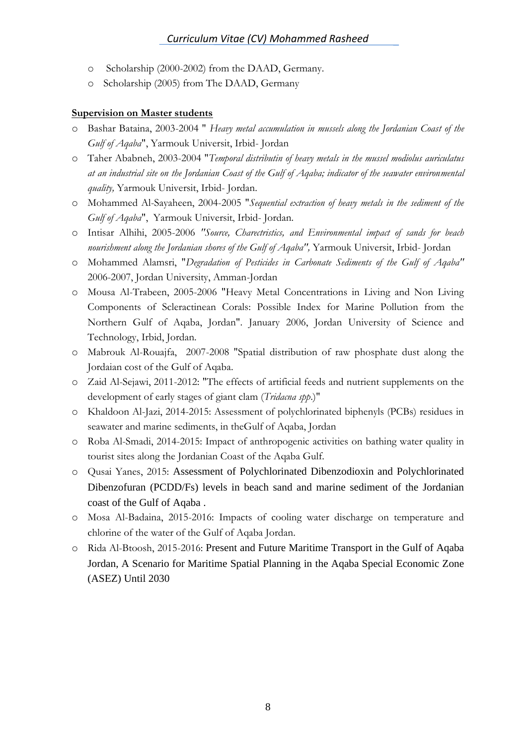- o Scholarship (2000-2002) from the DAAD, Germany.
- o Scholarship (2005) from The DAAD, Germany

#### **Supervision on Master students**

- o Bashar Bataina, 2003-2004 " *Heavy metal accumulation in mussels along the Jordanian Coast of the Gulf of Aqaba*", Yarmouk Universit, Irbid- Jordan
- o Taher Ababneh, 2003-2004 "*Temporal distributin of heavy metals in the mussel modiolus auriculatus at an industrial site on the Jordanian Coast of the Gulf of Aqaba; indicator of the seawater environmental quality,* Yarmouk Universit, Irbid- Jordan.
- o Mohammed Al-Sayaheen, 2004-2005 "*Sequential extraction of heavy metals in the sediment of the Gulf of Aqaba*", Yarmouk Universit, Irbid- Jordan.
- o Intisar Alhihi, 2005-2006 *"Source, Charectristics, and Environmental impact of sands for beach nourishment along the Jordanian shores of the Gulf of Aqaba",* Yarmouk Universit, Irbid- Jordan
- o Mohammed Alamsri, "*Degradation of Pesticides in Carbonate Sediments of the Gulf of Aqaba"*  2006-2007, Jordan University, Amman-Jordan
- o Mousa Al-Trabeen, 2005-2006 "Heavy Metal Concentrations in Living and Non Living Components of Scleractinean Corals: Possible Index for Marine Pollution from the Northern Gulf of Aqaba, Jordan". January 2006, Jordan University of Science and Technology, Irbid, Jordan.
- o Mabrouk Al-Rouajfa, 2007-2008 "Spatial distribution of raw phosphate dust along the Jordaian cost of the Gulf of Aqaba.
- o Zaid Al-Sejawi, 2011-2012: "The effects of artificial feeds and nutrient supplements on the development of early stages of giant clam (*Tridacna spp*.)"
- o Khaldoon Al-Jazi, 2014-2015: Assessment of polychlorinated biphenyls (PCBs) residues in seawater and marine sediments, in theGulf of Aqaba, Jordan
- o Roba Al-Smadi, 2014-2015: Impact of anthropogenic activities on bathing water quality in tourist sites along the Jordanian Coast of the Aqaba Gulf.
- o Qusai Yanes, 2015: Assessment of Polychlorinated Dibenzodioxin and Polychlorinated Dibenzofuran (PCDD/Fs) levels in beach sand and marine sediment of the Jordanian coast of the Gulf of Aqaba .
- o Mosa Al-Badaina, 2015-2016: Impacts of cooling water discharge on temperature and chlorine of the water of the Gulf of Aqaba Jordan.
- o Rida Al-Btoosh, 2015-2016: Present and Future Maritime Transport in the Gulf of Aqaba Jordan, A Scenario for Maritime Spatial Planning in the Aqaba Special Economic Zone (ASEZ) Until 2030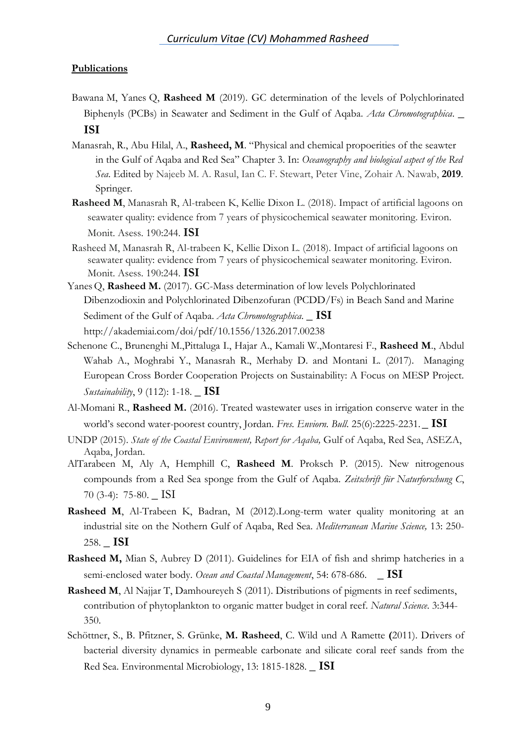#### **Publications**

- Bawana M, Yanes Q, **Rasheed M** (2019). GC determination of the levels of Polychlorinated Biphenyls (PCBs) in Seawater and Sediment in the Gulf of Aqaba. *Acta Chromotographica*. **\_ ISI**
- Manasrah, R., Abu Hilal, A., **Rasheed, M**. "Physical and chemical propoerities of the seawter in the Gulf of Aqaba and Red Sea" Chapter 3. In: *Oceanography and biological aspect of the Red Sea*. Edited by Najeeb M. A. Rasul, Ian C. F. Stewart, Peter Vine, Zohair A. Nawab, **2019**. Springer.
- **Rasheed M**, Manasrah R, Al-trabeen K, Kellie Dixon L. (2018). Impact of artificial lagoons on seawater quality: evidence from 7 years of physicochemical seawater monitoring. Eviron. Monit. Asess. 190:244. **ISI**
- Rasheed M, Manasrah R, Al-trabeen K, Kellie Dixon L. (2018). Impact of artificial lagoons on seawater quality: evidence from 7 years of physicochemical seawater monitoring. Eviron. Monit. Asess. 190:244. **ISI**
- Yanes Q, **Rasheed M.** (2017). GC-Mass determination of low levels Polychlorinated Dibenzodioxin and Polychlorinated Dibenzofuran (PCDD/Fs) in Beach Sand and Marine Sediment of the Gulf of Aqaba. *Acta Chromotographica*. **\_ ISI** http://akademiai.com/doi/pdf/10.1556/1326.2017.00238
- Schenone C., Brunenghi M.,Pittaluga I., Hajar A., Kamali W.,Montaresi F., **Rasheed M**., Abdul Wahab A., Moghrabi Y., Manasrah R., Merhaby D. and Montani L. (2017). Managing European Cross Border Cooperation Projects on Sustainability: A Focus on MESP Project. *Sustainability*, 9 (112): 1-18. **\_ ISI**
- Al-Momani R., **Rasheed M.** (2016). Treated wastewater uses in irrigation conserve water in the world's second water-poorest country, Jordan. *Fres. Enviorn. Bull*. 25(6):2225-2231.**\_ ISI**
- UNDP (2015). *State of the Coastal Environment, Report for Aqaba,* Gulf of Aqaba, Red Sea, ASEZA, Aqaba, Jordan.
- AlTarabeen M, Aly A, Hemphill C, **Rasheed M**. Proksch P. (2015). New nitrogenous compounds from a Red Sea sponge from the Gulf of Aqaba. *Zeitschrift für Naturforschung C*, 70 (3-4): 75-80. \_ ISI
- **Rasheed M**, Al-Trabeen K, Badran, M (2012).Long-term water quality monitoring at an industrial site on the Nothern Gulf of Aqaba, Red Sea. *Mediterranean Marine Science,* 13: 250- 258. **\_ ISI**
- **Rasheed M,** Mian S, Aubrey D (2011). Guidelines for EIA of fish and shrimp hatcheries in a semi-enclosed water body. *Ocean and Coastal Management*, 54: 678-686.**\_ ISI**
- **Rasheed M**, Al Najjar T, Damhoureyeh S (2011). Distributions of pigments in reef sediments, contribution of phytoplankton to organic matter budget in coral reef. *Natural Science*. 3:344- 350.
- Schöttner, S., B. Pfitzner, S. Grünke, **M. Rasheed**, C. Wild und A Ramette **(**2011). Drivers of bacterial diversity dynamics in permeable carbonate and silicate coral reef sands from the Red Sea. Environmental Microbiology, 13: 1815-1828. **\_ ISI**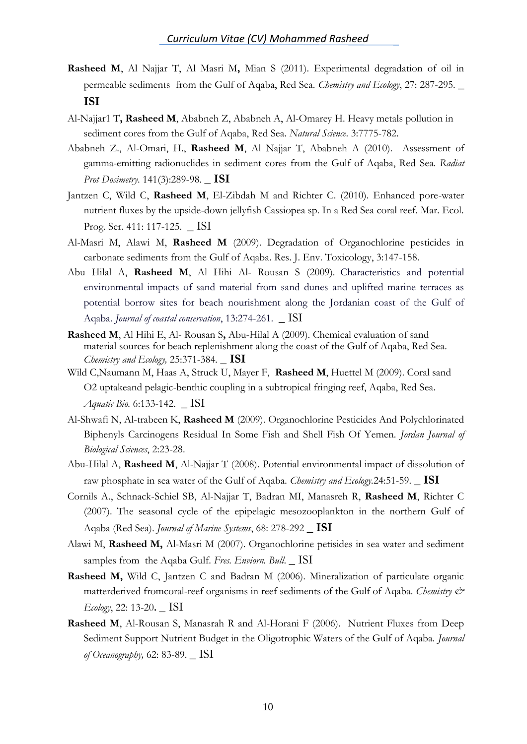- **Rasheed M**, Al Najjar T, Al Masri M**,** Mian S (2011). Experimental degradation of oil in permeable sediments from the Gulf of Aqaba, Red Sea. *Chemistry and Ecology*, 27: 287-295. **\_ ISI**
- Al-Najjar1 T**, Rasheed M**, Ababneh Z, Ababneh A, Al-Omarey H. Heavy metals pollution in sediment cores from the Gulf of Aqaba, Red Sea. *Natural Science*. 3:7775-782.
- Ababneh Z., Al-Omari, H., **Rasheed M**, Al Najjar T, Ababneh A (2010). Assessment of gamma-emitting radionuclides in sediment cores from the Gulf of Aqaba, Red Sea. *Radiat Prot Dosimetry*. 141(3):289-98. **\_ ISI**
- Jantzen C, Wild C, **Rasheed M**, El-Zibdah M and Richter C. (2010). Enhanced pore-water nutrient fluxes by the upside-down jellyfish Cassiopea sp. In a Red Sea coral reef. Mar. Ecol. Prog. Ser. 411: 117-125. \_ ISI
- Al-Masri M, Alawi M, **Rasheed M** (2009). Degradation of Organochlorine pesticides in carbonate sediments from the Gulf of Aqaba. Res. J. Env. Toxicology, 3:147-158.
- Abu Hilal A, **Rasheed M**, Al Hihi Al- Rousan S (2009). Characteristics and potential environmental impacts of sand material from sand dunes and uplifted marine terraces as potential borrow sites for beach nourishment along the Jordanian coast of the Gulf of Aqaba. *Journal of coastal conservation*, 13:274-261. \_ ISI
- **Rasheed M**, Al Hihi E, Al- Rousan S**,** Abu-Hilal A (2009). Chemical evaluation of sand material sources for beach replenishment along the coast of the Gulf of Aqaba, Red Sea. *Chemistry and Ecology,* 25:371-384*.* **\_ ISI**
- Wild C,Naumann M, Haas A, Struck U, Mayer F, **Rasheed M**, Huettel M (2009). Coral sand O2 uptakeand pelagic-benthic coupling in a subtropical fringing reef, Aqaba, Red Sea. *Aquatic Bio.* 6:133-142. \_ ISI
- Al-Shwafi N, Al-trabeen K, **Rasheed M** (2009). Organochlorine Pesticides And Polychlorinated Biphenyls Carcinogens Residual In Some Fish and Shell Fish Of Yemen. *Jordan Journal of Biological Sciences*, 2:23-28.
- Abu-Hilal A, **Rasheed M**, Al-Najjar T (2008). Potential environmental impact of dissolution of raw phosphate in sea water of the Gulf of Aqaba*. Chemistry and Ecology.*24:51-59. **\_ ISI**
- Cornils A., Schnack-Schiel SB, Al-Najjar T, Badran MI, Manasreh R, **Rasheed M**, Richter C (2007). The seasonal cycle of the epipelagic mesozooplankton in the northern Gulf of Aqaba (Red Sea). *Journal of Marine Systems*, 68: 278-292 **\_ ISI**
- Alawi M, **Rasheed M,** Al-Masri M (2007). Organochlorine petisides in sea water and sediment samples from the Aqaba Gulf. *Fres. Enviorn. Bull.* \_ ISI
- **Rasheed M,** Wild C, Jantzen C and Badran M (2006). Mineralization of particulate organic matterderived fromcoral-reef organisms in reef sediments of the Gulf of Aqaba. *Chemistry & Ecology*, 22: 13-20**.** \_ ISI
- **Rasheed M**, Al-Rousan S, Manasrah R and Al-Horani F (2006). Nutrient Fluxes from Deep Sediment Support Nutrient Budget in the Oligotrophic Waters of the Gulf of Aqaba. *Journal of Oceanography,* 62: 83-89. \_ ISI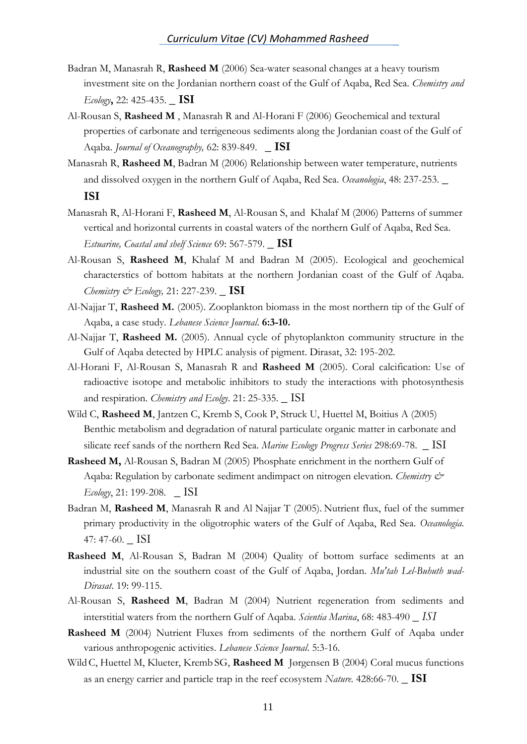- Badran M, Manasrah R, **Rasheed M** (2006) Sea-water seasonal changes at a heavy tourism investment site on the Jordanian northern coast of the Gulf of Aqaba, Red Sea. *Chemistry and Ecology***,** 22: 425-435. **\_ ISI**
- Al-Rousan S, **Rasheed M** , Manasrah R and Al-Horani F (2006) Geochemical and textural properties of carbonate and terrigeneous sediments along the Jordanian coast of the Gulf of Aqaba. *Journal of Oceanography,* 62: 839-849. **\_ ISI**
- Manasrah R, **Rasheed M**, Badran M (2006) Relationship between water temperature, nutrients and dissolved oxygen in the northern Gulf of Aqaba, Red Sea. *Oceanologia*, 48: 237-253. **\_ ISI**
- Manasrah R, Al-Horani F, **Rasheed M**, Al-Rousan S, and Khalaf M (2006) Patterns of summer vertical and horizontal currents in coastal waters of the northern Gulf of Aqaba, Red Sea. *Estuarine, Coastal and shelf Science* 69: 567-579. **\_ ISI**
- Al-Rousan S, **Rasheed M**, Khalaf M and Badran M (2005). Ecological and geochemical characterstics of bottom habitats at the northern Jordanian coast of the Gulf of Aqaba. *Chemistry & Ecology,* 21: 227-239. **\_ ISI**
- Al-Najjar T, **Rasheed M.** (2005). Zooplankton biomass in the most northern tip of the Gulf of Aqaba, a case study. *Lebanese Science Journal*. **6:3-10.**
- Al-Najjar T, **Rasheed M.** (2005). Annual cycle of phytoplankton community structure in the Gulf of Aqaba detected by HPLC analysis of pigment. Dirasat, 32: 195-202.
- Al-Horani F, Al-Rousan S, Manasrah R and **Rasheed M** (2005). Coral calcification: Use of radioactive isotope and metabolic inhibitors to study the interactions with photosynthesis and respiration. *Chemistry and Ecolgy*. 21: 25-335. \_ ISI
- Wild C, **Rasheed M**, Jantzen C, Kremb S, Cook P, Struck U, Huettel M, Boitius A (2005) Benthic metabolism and degradation of natural particulate organic matter in carbonate and silicate reef sands of the northern Red Sea. *Marine Ecology Progress Series* 298:69-78. \_ ISI
- **Rasheed M,** Al-Rousan S, Badran M (2005) Phosphate enrichment in the northern Gulf of Aqaba: Regulation by carbonate sediment andimpact on nitrogen elevation. *Chemistry & Ecology*, 21: 199-208.\_ ISI
- Badran M, **Rasheed M**, Manasrah R and Al Najjar T (2005). Nutrient flux, fuel of the summer primary productivity in the oligotrophic waters of the Gulf of Aqaba, Red Sea. *Oceanologia.* 47: 47-60. \_ ISI
- **Rasheed M**, Al-Rousan S, Badran M (2004) Quality of bottom surface sediments at an industrial site on the southern coast of the Gulf of Aqaba, Jordan. *Mu'tah Lel-Buhuth wad-Dirasat*. 19: 99-115.
- Al-Rousan S, **Rasheed M**, Badran M (2004) Nutrient regeneration from sediments and interstitial waters from the northern Gulf of Aqaba. *Scientia Marina*, 68: 483-490 *\_ ISI*
- **Rasheed M** (2004) Nutrient Fluxes from sediments of the northern Gulf of Aqaba under various anthropogenic activities. *Lebanese Science Journal*. 5:3-16.
- WildC, Huettel M, Klueter, Kremb SG, **Rasheed M** Jørgensen B (2004) Coral mucus functions as an energy carrier and particle trap in the reef ecosystem *Nature*. 428:66-70. **\_ ISI**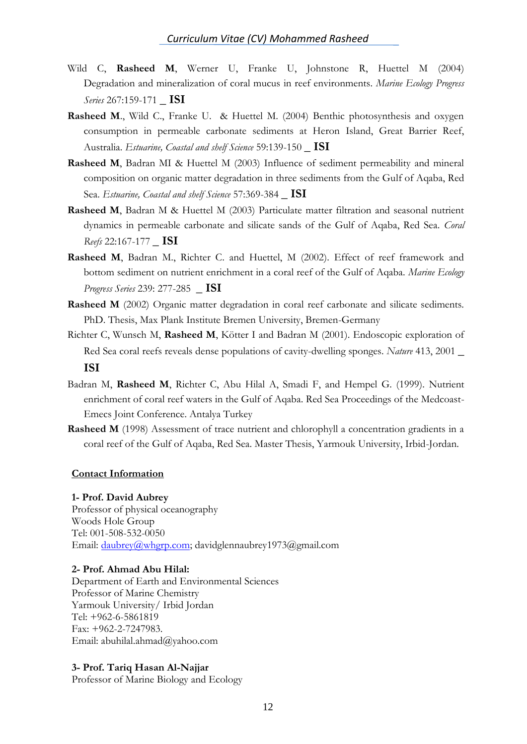- Wild C, **Rasheed M**, Werner U, Franke U, Johnstone R, Huettel M (2004) Degradation and mineralization of coral mucus in reef environments. *Marine Ecology Progress Series* 267:159-171 **\_ ISI**
- **Rasheed M**., Wild C., Franke U. & Huettel M. (2004) Benthic photosynthesis and oxygen consumption in permeable carbonate sediments at Heron Island, Great Barrier Reef, Australia. *Estuarine, Coastal and shelf Science* 59:139-150 **\_ ISI**
- **Rasheed M**, Badran MI & Huettel M (2003) Influence of sediment permeability and mineral composition on organic matter degradation in three sediments from the Gulf of Aqaba, Red Sea. *Estuarine, Coastal and shelf Science* 57:369-384 **\_ ISI**
- **Rasheed M**, Badran M & Huettel M (2003) Particulate matter filtration and seasonal nutrient dynamics in permeable carbonate and silicate sands of the Gulf of Aqaba, Red Sea. *Coral Reefs* 22:167-177 **\_ ISI**
- **Rasheed M**, Badran M., Richter C. and Huettel, M (2002). Effect of reef framework and bottom sediment on nutrient enrichment in a coral reef of the Gulf of Aqaba. *Marine Ecology Progress Series* 239: 277-285 **\_ ISI**
- **Rasheed M** (2002) Organic matter degradation in coral reef carbonate and silicate sediments. PhD. Thesis, Max Plank Institute Bremen University, Bremen-Germany
- Richter C, Wunsch M, **Rasheed M**, Kötter I and Badran M (2001). Endoscopic exploration of Red Sea coral reefs reveals dense populations of cavity-dwelling sponges. *Nature* 413, 2001 **\_ ISI**
- Badran M, **Rasheed M**, Richter C, Abu Hilal A, Smadi F, and Hempel G. (1999). Nutrient enrichment of coral reef waters in the Gulf of Aqaba. Red Sea Proceedings of the Medcoast-Emecs Joint Conference. Antalya Turkey
- **Rasheed M** (1998) Assessment of trace nutrient and chlorophyll a concentration gradients in a coral reef of the Gulf of Aqaba, Red Sea. Master Thesis, Yarmouk University, Irbid-Jordan.

#### **Contact Information**

#### **1- Prof. David Aubrey**

Professor of physical oceanography Woods Hole Group Tel: 001-508-532-0050 Email: [daubrey@whgrp.com;](mailto:daubrey@whgrp.com) davidglennaubrey1973@gmail.com

#### **2- Prof. Ahmad Abu Hilal:**

Department of Earth and Environmental Sciences Professor of Marine Chemistry Yarmouk University/ Irbid Jordan Tel: +962-6-5861819 Fax: +962-2-7247983. Email: abuhilal.ahmad@yahoo.com

#### **3- Prof. Tariq Hasan Al-Najjar**

Professor of Marine Biology and Ecology